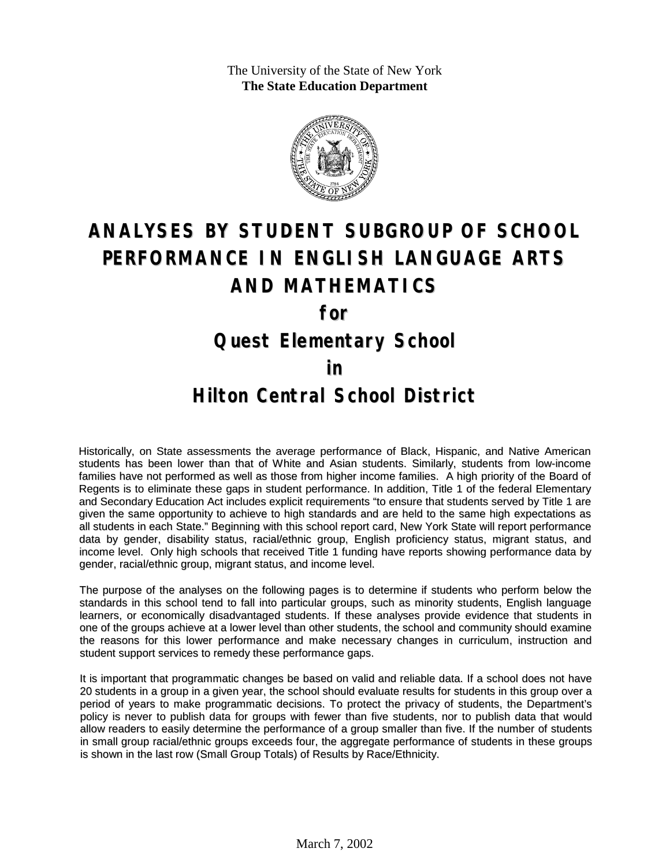The University of the State of New York **The State Education Department**



# **ANALYSES BY STUDENT SUBGROUP OF SCHOOL PERFORMANCE IN ENGLISH LANGUAGE ARTS AND MATHEMATICS**

**for**

### **Quest Elementary School**

#### **in**

### **Hilton Central School District**

Historically, on State assessments the average performance of Black, Hispanic, and Native American students has been lower than that of White and Asian students. Similarly, students from low-income families have not performed as well as those from higher income families. A high priority of the Board of Regents is to eliminate these gaps in student performance. In addition, Title 1 of the federal Elementary and Secondary Education Act includes explicit requirements "to ensure that students served by Title 1 are given the same opportunity to achieve to high standards and are held to the same high expectations as all students in each State." Beginning with this school report card, New York State will report performance data by gender, disability status, racial/ethnic group, English proficiency status, migrant status, and income level. Only high schools that received Title 1 funding have reports showing performance data by gender, racial/ethnic group, migrant status, and income level.

The purpose of the analyses on the following pages is to determine if students who perform below the standards in this school tend to fall into particular groups, such as minority students, English language learners, or economically disadvantaged students. If these analyses provide evidence that students in one of the groups achieve at a lower level than other students, the school and community should examine the reasons for this lower performance and make necessary changes in curriculum, instruction and student support services to remedy these performance gaps.

It is important that programmatic changes be based on valid and reliable data. If a school does not have 20 students in a group in a given year, the school should evaluate results for students in this group over a period of years to make programmatic decisions. To protect the privacy of students, the Department's policy is never to publish data for groups with fewer than five students, nor to publish data that would allow readers to easily determine the performance of a group smaller than five. If the number of students in small group racial/ethnic groups exceeds four, the aggregate performance of students in these groups is shown in the last row (Small Group Totals) of Results by Race/Ethnicity.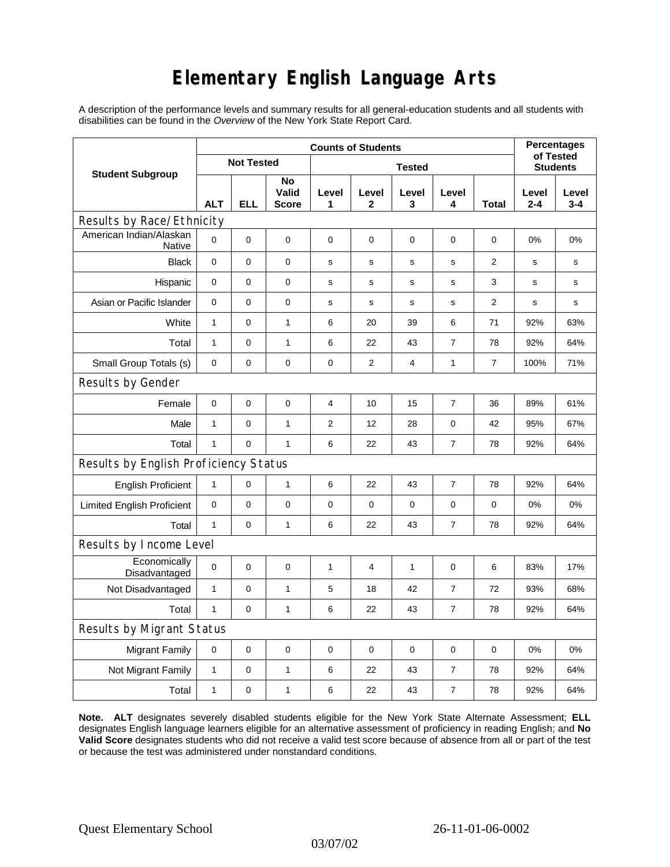# **Elementary English Language Arts**

A description of the performance levels and summary results for all general-education students and all students with disabilities can be found in the *Overview* of the New York State Report Card.

| <b>Student Subgroup</b>                  | <b>Counts of Students</b> |             |                             |               |              |              |                  |                | <b>Percentages</b><br>of Tested |                  |
|------------------------------------------|---------------------------|-------------|-----------------------------|---------------|--------------|--------------|------------------|----------------|---------------------------------|------------------|
|                                          | <b>Not Tested</b>         |             |                             | <b>Tested</b> |              |              |                  |                | <b>Students</b>                 |                  |
|                                          | <b>ALT</b>                | <b>ELL</b>  | No<br>Valid<br><b>Score</b> | Level<br>1    | Level<br>2   | Level<br>3   | Level<br>4       | Total          | Level<br>$2 - 4$                | Level<br>$3 - 4$ |
| Results by Race/Ethnicity                |                           |             |                             |               |              |              |                  |                |                                 |                  |
| American Indian/Alaskan<br><b>Native</b> | $\mathbf 0$               | 0           | 0                           | $\pmb{0}$     | 0            | 0            | 0                | 0              | 0%                              | 0%               |
| <b>Black</b>                             | $\pmb{0}$                 | 0           | 0                           | s             | $\mathbf s$  | $\mathbf s$  | $\mathbf s$      | $\overline{2}$ | s                               | s                |
| Hispanic                                 | 0                         | 0           | $\pmb{0}$                   | s             | $\mathsf{s}$ | $\mathbf S$  | s                | 3              | s                               | s                |
| Asian or Pacific Islander                | $\mathbf 0$               | 0           | 0                           | s             | s            | s            | s                | 2              | s                               | s                |
| White                                    | $\mathbf{1}$              | 0           | $\mathbf{1}$                | 6             | 20           | 39           | 6                | 71             | 92%                             | 63%              |
| Total                                    | $\mathbf{1}$              | 0           | $\mathbf{1}$                | 6             | 22           | 43           | $\overline{7}$   | 78             | 92%                             | 64%              |
| Small Group Totals (s)                   | 0                         | 0           | 0                           | 0             | 2            | 4            | 1                | 7              | 100%                            | 71%              |
| Results by Gender                        |                           |             |                             |               |              |              |                  |                |                                 |                  |
| Female                                   | $\mathbf 0$               | $\mathsf 0$ | $\pmb{0}$                   | 4             | 10           | 15           | $\overline{7}$   | 36             | 89%                             | 61%              |
| Male                                     | $\mathbf{1}$              | 0           | $\mathbf{1}$                | 2             | 12           | 28           | 0                | 42             | 95%                             | 67%              |
| Total                                    | $\mathbf{1}$              | 0           | $\mathbf{1}$                | 6             | 22           | 43           | $\overline{7}$   | 78             | 92%                             | 64%              |
| Results by English Proficiency Status    |                           |             |                             |               |              |              |                  |                |                                 |                  |
| <b>English Proficient</b>                | $\mathbf{1}$              | 0           | $\mathbf{1}$                | 6             | 22           | 43           | 7                | 78             | 92%                             | 64%              |
| <b>Limited English Proficient</b>        | $\mathbf 0$               | 0           | $\pmb{0}$                   | $\pmb{0}$     | 0            | $\pmb{0}$    | $\pmb{0}$        | 0              | 0%                              | 0%               |
| Total                                    | $\mathbf{1}$              | 0           | $\mathbf{1}$                | 6             | 22           | 43           | 7                | 78             | 92%                             | 64%              |
| Results by Income Level                  |                           |             |                             |               |              |              |                  |                |                                 |                  |
| Economically<br>Disadvantaged            | $\mathbf 0$               | 0           | $\mathbf 0$                 | $\mathbf{1}$  | 4            | $\mathbf{1}$ | 0                | 6              | 83%                             | 17%              |
| Not Disadvantaged                        | $\mathbf{1}$              | 0           | $\mathbf{1}$                | 5             | 18           | 42           | $\overline{7}$   | 72             | 93%                             | 68%              |
| Total                                    | $\mathbf{1}$              | 0           | $\mathbf{1}$                | 6             | 22           | 43           | $\overline{7}$   | 78             | 92%                             | 64%              |
| Results by Migrant Status                |                           |             |                             |               |              |              |                  |                |                                 |                  |
| <b>Migrant Family</b>                    | 0                         | 0           | $\pmb{0}$                   | $\pmb{0}$     | 0            | $\mathbf 0$  | 0                | 0              | 0%                              | 0%               |
| Not Migrant Family                       | $\mathbf{1}$              | 0           | $\mathbf{1}$                | 6             | 22           | 43           | 7                | 78             | 92%                             | 64%              |
| Total                                    | $\mathbf{1}$              | 0           | $\mathbf{1}$                | 6             | 22           | 43           | $\boldsymbol{7}$ | 78             | 92%                             | 64%              |

**Note. ALT** designates severely disabled students eligible for the New York State Alternate Assessment; **ELL** designates English language learners eligible for an alternative assessment of proficiency in reading English; and **No Valid Score** designates students who did not receive a valid test score because of absence from all or part of the test or because the test was administered under nonstandard conditions.